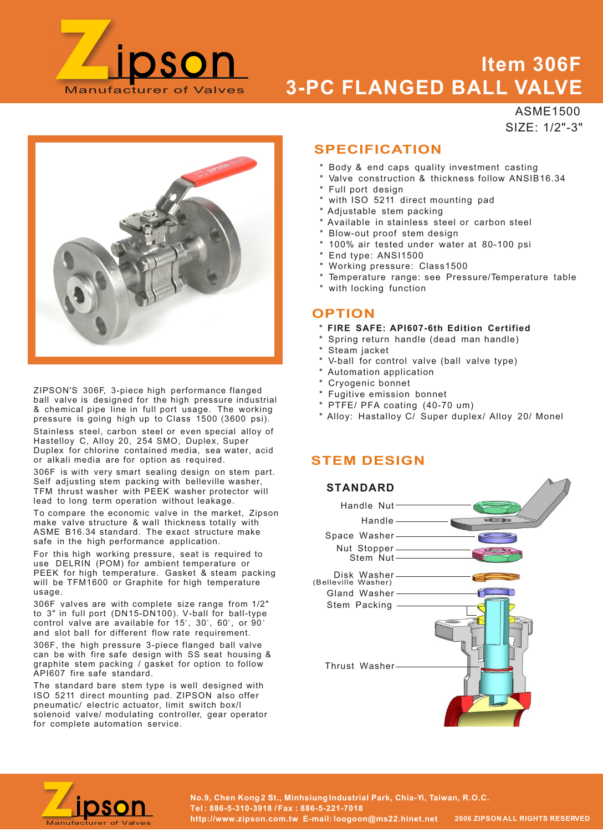

## **Item 306F 3-PC FLANGED BALL VALVE**

ASME1500 SIZE: 1/2"-3"



ZIPSON'S 306F, 3-piece high performance flanged ball valve is designed for the high pressure industrial & chemical pipe line in full port usage. The working pressure is going high up to Class 1500 (3600 psi).

Stainless steel, carbon steel or even special alloy of Hastelloy C, Alloy 20, 254 SMO, Duplex, Super Duplex for chlorine contained media, sea water, acid or alkali media are for option as required.

306F is with very smart sealing design on stem part. Self adjusting stem packing with belleville washer, TFM thrust washer with PEEK washer protector will lead to long term operation without leakage.

To compare the economic valve in the market, Zipson make valve structure & wall thickness totally with ASME B16.34 standard. The exact structure make safe in the high performance application.

For this high working pressure, seat is required to use DELRIN (POM) for ambient temperature or PEEK for high temperature. Gasket & steam packing will be TFM1600 or Graphite for high temperature usage.

306F valves are with complete size range from 1/2" to 3" in full port (DN15-DN100). V-ball for ball-type control valve are available for 15°, 30°, 60°, or 90° and slot ball for different flow rate requirement. 306F, the high pressure 3-piece flanged ball valve can be with fire safe design with SS seat housing & graphite stem packing / gasket for option to follow API607 fire safe standard.

The standard bare stem type is well designed with ISO 5211 direct mounting pad. ZIPSON also offer pneumatic/ electric actuator, limit switch box/l solenoid valve/ modulating controller, gear operator for complete automation service.

## **SPECIFICATION**

- \* Body & end caps quality investment casting
- Valve construction & thickness follow ANSIB16.34
- Full port design
- with ISO 5211 direct mounting pad
- \* Adjustable stem packing
- \* Available in stainless steel or carbon steel
- Blow-out proof stem design
- \* 100% air tested under water at 80-100 psi
- End type: ANSI1500
- \* Working pressure: Class1500
- \* Temperature range: see Pressure/Temperature table
- \* with locking function

#### **OPTION**

- \* **FIRE SAFE: API607-6th Edition Certified**
- Spring return handle (dead man handle)
- Steam jacket
- V-ball for control valve (ball valve type)
- \* Automation application
- \* Cryogenic bonnet
- \* Fugitive emission bonnet
- \* PTFE/ PFA coating (40-70 um)
- \* Alloy: Hastalloy C/ Super duplex/ Alloy 20/ Monel

### **STEM DESIGN**



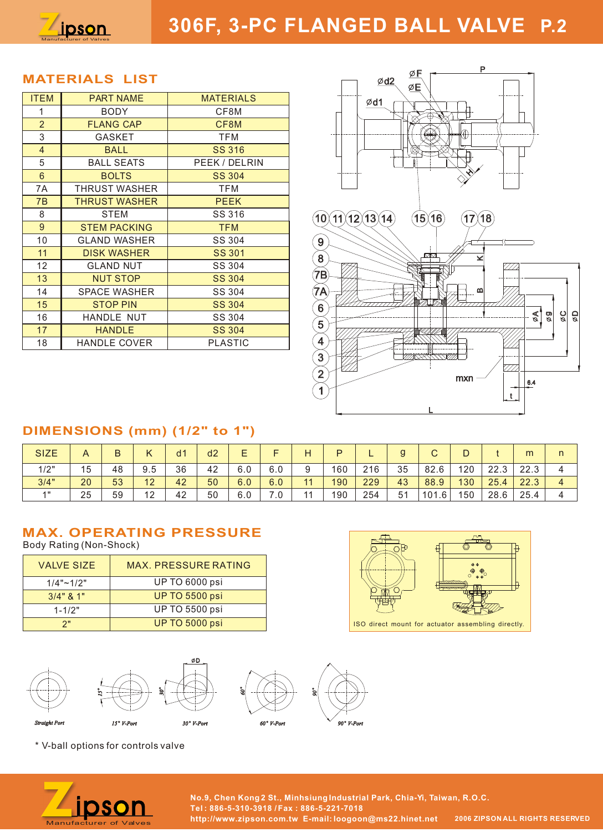

## **306F, 3-PC FLANGED BALL VALVE P.2**

### **MATERIALS LIST**

| <b>ITEM</b>    | <b>PART NAME</b>     | <b>MATERIALS</b> |  |  |  |  |  |
|----------------|----------------------|------------------|--|--|--|--|--|
| 1              | <b>BODY</b>          | CF8M             |  |  |  |  |  |
| $\overline{2}$ | <b>FLANG CAP</b>     | CF8M             |  |  |  |  |  |
| 3              | <b>GASKET</b>        | <b>TFM</b>       |  |  |  |  |  |
| $\overline{4}$ | <b>BALL</b>          | <b>SS 316</b>    |  |  |  |  |  |
| 5              | <b>BALL SEATS</b>    | PEEK / DELRIN    |  |  |  |  |  |
| 6              | <b>BOLTS</b>         | <b>SS 304</b>    |  |  |  |  |  |
| 7A             | THRUST WASHER        | TFM              |  |  |  |  |  |
| 7B             | <b>THRUST WASHER</b> | <b>PEEK</b>      |  |  |  |  |  |
| 8              | <b>STEM</b>          | SS 316           |  |  |  |  |  |
| 9              | <b>STEM PACKING</b>  | <b>TFM</b>       |  |  |  |  |  |
| 10             | <b>GLAND WASHER</b>  | SS 304           |  |  |  |  |  |
| 11             | <b>DISK WASHER</b>   | <b>SS 301</b>    |  |  |  |  |  |
| 12             | <b>GLAND NUT</b>     | SS 304           |  |  |  |  |  |
| 13             | <b>NUT STOP</b>      | <b>SS 304</b>    |  |  |  |  |  |
| 14             | <b>SPACE WASHER</b>  | SS 304           |  |  |  |  |  |
| 15             | <b>STOP PIN</b>      | <b>SS 304</b>    |  |  |  |  |  |
| 16             | HANDLE NUT           | SS 304           |  |  |  |  |  |
| 17             | <b>HANDLE</b>        | <b>SS 304</b>    |  |  |  |  |  |
| 18             | <b>HANDLE COVER</b>  | <b>PLASTIC</b>   |  |  |  |  |  |



## **DIMENSIONS (mm) (1/2" to 1")**

| <b>SIZE</b> |    | R  |           | d1 | d <sub>2</sub> | –   |     | Н  | D   | –   | g  | $\sim$<br>U | ◡   |      | m    | n |
|-------------|----|----|-----------|----|----------------|-----|-----|----|-----|-----|----|-------------|-----|------|------|---|
| 1/2"        | 15 | 48 | 9.5       | 36 | 42             | 6.0 | 6.0 | 9  | 160 | 216 | 35 | 82.6        | 120 | 22.3 | 22.3 |   |
| 3/4"        | 20 | 53 | 12<br>ے ا | 42 | 50             | 6.0 | 6.0 | 11 | 190 | 229 | 43 | 88.9        | 130 | 25.4 | 22.3 | 4 |
| 4H          | 25 | 59 | 10<br>∠   | 42 | 50             | 6.0 | 7.0 | 11 | 190 | 254 | 51 | 101.6       | 150 | 28.6 | 25.4 |   |

## **MAX. OPERATING PRESSURE**

Body Rating (Non-Shock)

| <b>VALVE SIZE</b> | MAX, PRESSURE RATING  |
|-------------------|-----------------------|
| $1/4"$ ~ $1/2"$   | <b>UP TO 6000 psi</b> |
| $3/4$ " & 1"      | <b>UP TO 5500 psi</b> |
| $1 - 1/2"$        | <b>UP TO 5500 psi</b> |
| つ"                | <b>UP TO 5000 psi</b> |



书 ISO direct mount for actuator assembling directly.

\* V-ball options for controls valve



**No.9, Chen Kong 2 St., Minhsiung Industrial Park, Chia-Yi, Taiwan, R.O.C. Tel : 886-5-310-3918 / Fax : 886-5-221-7018 http://www.zipson.com.tw E-mail: loogoon@ms22.hinet.net 2006 ZIPSON ALL RIGHTS RESERVED**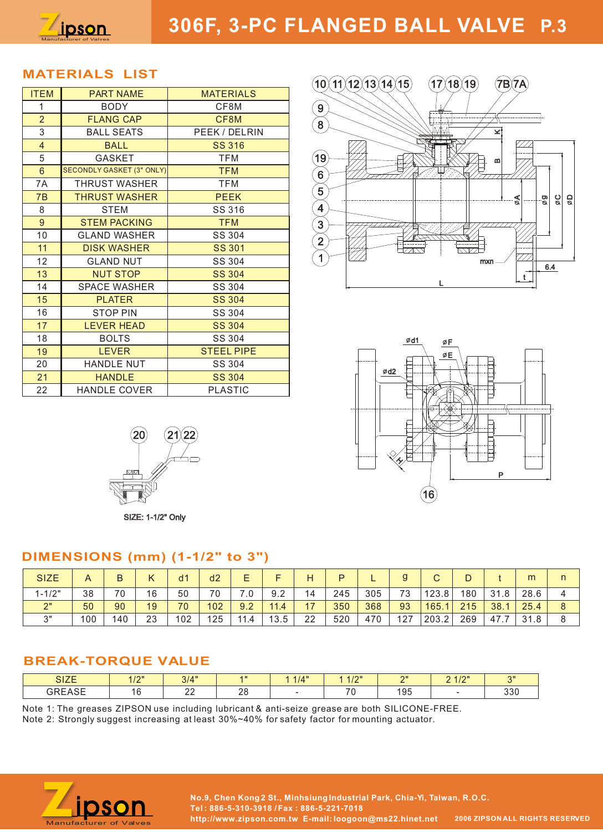

#### **MATERIALS LIST**

| <b>ITEM</b>             | <b>PART NAME</b>                 | <b>MATERIALS</b>  |
|-------------------------|----------------------------------|-------------------|
| 1                       | <b>BODY</b>                      | CF8M              |
| $\overline{2}$          | <b>FLANG CAP</b>                 | CF8M              |
| 3                       | <b>BALL SEATS</b>                | PEEK / DELRIN     |
| $\overline{\mathbf{4}}$ | <b>BALL</b>                      | <b>SS 316</b>     |
| 5                       | GASKET                           | <b>TFM</b>        |
| $6\phantom{a}$          | <b>SECONDLY GASKET (3" ONLY)</b> | <b>TFM</b>        |
| 7A                      | THRUST WASHER                    | <b>TFM</b>        |
| 7B                      | <b>THRUST WASHER</b>             | <b>PEEK</b>       |
| 8                       | STEM                             | SS 316            |
| 9                       | <b>STEM PACKING</b>              | <b>TFM</b>        |
| 10                      | <b>GLAND WASHER</b>              | SS 304            |
| 11                      | <b>DISK WASHER</b>               | <b>SS 301</b>     |
| 12                      | <b>GLAND NUT</b>                 | SS 304            |
| 13                      | <b>NUT STOP</b>                  | <b>SS 304</b>     |
| 14                      | <b>SPACE WASHER</b>              | SS 304            |
| 15                      | <b>PLATER</b>                    | <b>SS 304</b>     |
| 16                      | <b>STOP PIN</b>                  | SS 304            |
| 17                      | <b>LEVER HEAD</b>                | <b>SS 304</b>     |
| 18                      | <b>BOLTS</b>                     | SS 304            |
| 19                      | <b>LEVER</b>                     | <b>STEEL PIPE</b> |
| 20                      | HANDLE NUT                       | SS 304            |
| 21                      | <b>HANDLE</b>                    | <b>SS 304</b>     |
| 22                      | <b>HANDLE COVER</b>              | <b>PLASTIC</b>    |







SIZE: 1-1/2" Only

### **DIMENSIONS (mm) (1-1/2" to 3")**

| <b>SIZE</b>          |     |     |    | d <sub>1</sub> | d <sub>2</sub> |      | -    | Н  | D   |     |     | $\sim$<br>ັ |     |      | m    |  |
|----------------------|-----|-----|----|----------------|----------------|------|------|----|-----|-----|-----|-------------|-----|------|------|--|
| $1 - 1/2"$           | 38  | 70  | 16 | 50             | 70             | 7.0  | 9.2  | 14 | 245 | 305 | 73  | 123.8       | 180 | 31.8 | 28.6 |  |
| $\Omega$<br><u>_</u> | 50  | 90  | 19 | 70             | 102            | 9.2  | 11.4 | 17 | 350 | 368 | 93  | 165.        | 215 | 38.1 | 25.4 |  |
| $\Omega$             | 100 | 140 | 23 | 102            | 125            | 11.4 | 13.5 | 22 | 520 | 470 | 127 | 203.2       | 269 | 47.7 | 21   |  |

## **BREAK-TORQUE VALUE**

| 017F<br>ञा∠⊏               | 110H<br>17 L | 3/4"        | $\blacksquare$ | 1/4" | $A$ $A$ $I$ $\Omega$ $II$<br>. | $^{\sim}$ | 0.410H<br>_<br>$\cdots$ | $^{\circ}$ |
|----------------------------|--------------|-------------|----------------|------|--------------------------------|-----------|-------------------------|------------|
| $\cap$ $\cap$ $\cap$<br>∼∽ | $\sim$<br>16 | n n<br>$ -$ | ററ<br>∠∪       |      | $\overline{\phantom{a}}$       | 195       |                         | 220<br>しいい |

Note 1: The greases ZIPSON use including lubricant & anti-seize grease are both SILICONE-FREE.

Note 2: Strongly suggest increasing at least 30%~40% for safety factor for mounting actuator.